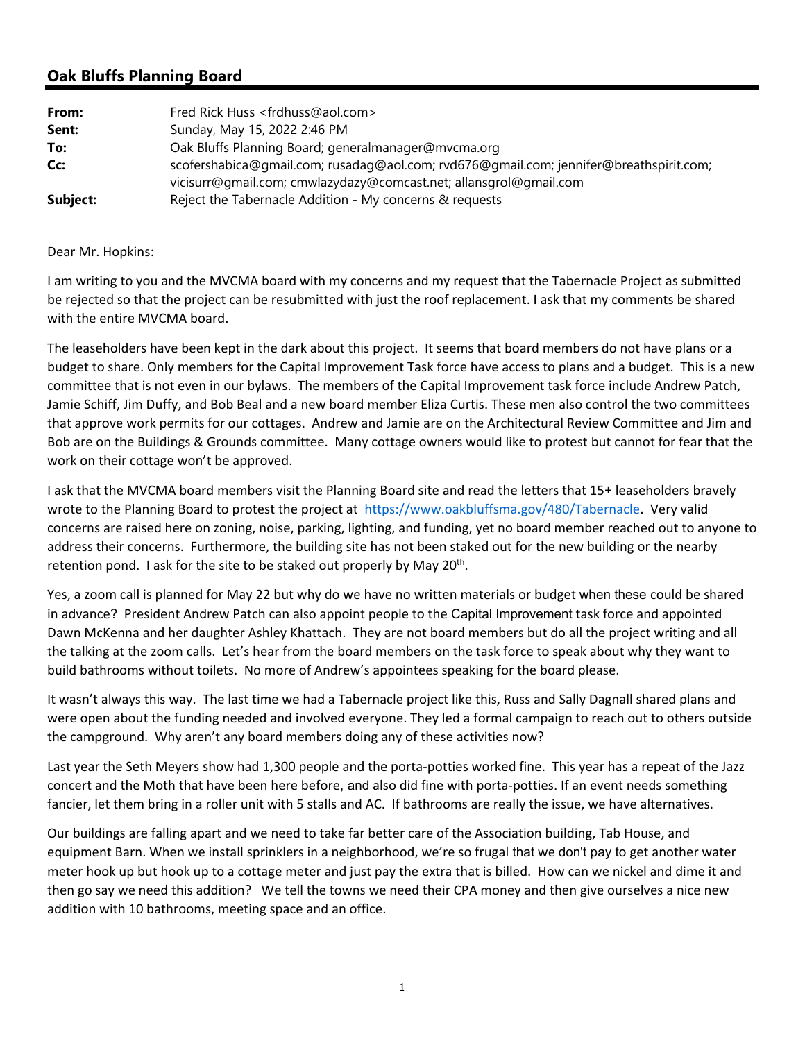# **Oak Bluffs Planning Board**

| From:    | Fred Rick Huss <frdhuss@aol.com></frdhuss@aol.com>                                     |
|----------|----------------------------------------------------------------------------------------|
| Sent:    | Sunday, May 15, 2022 2:46 PM                                                           |
| To:      | Oak Bluffs Planning Board; generalmanager@mvcma.org                                    |
| Cc:      | scofershabica@qmail.com; rusadaq@aol.com; rvd676@qmail.com; jennifer@breathspirit.com; |
|          | vicisurr@qmail.com; cmwlazydazy@comcast.net; allansgrol@gmail.com                      |
| Subject: | Reject the Tabernacle Addition - My concerns & requests                                |

#### Dear Mr. Hopkins:

I am writing to you and the MVCMA board with my concerns and my request that the Tabernacle Project as submitted be rejected so that the project can be resubmitted with just the roof replacement. I ask that my comments be shared with the entire MVCMA board.

The leaseholders have been kept in the dark about this project. It seems that board members do not have plans or a budget to share. Only members for the Capital Improvement Task force have access to plans and a budget. This is a new committee that is not even in our bylaws. The members of the Capital Improvement task force include Andrew Patch, Jamie Schiff, Jim Duffy, and Bob Beal and a new board member Eliza Curtis. These men also control the two committees that approve work permits for our cottages. Andrew and Jamie are on the Architectural Review Committee and Jim and Bob are on the Buildings & Grounds committee. Many cottage owners would like to protest but cannot for fear that the work on their cottage won't be approved.

I ask that the MVCMA board members visit the Planning Board site and read the letters that 15+ leaseholders bravely wrote to the Planning Board to protest the project at https://www.oakbluffsma.gov/480/Tabernacle. Very valid concerns are raised here on zoning, noise, parking, lighting, and funding, yet no board member reached out to anyone to address their concerns. Furthermore, the building site has not been staked out for the new building or the nearby retention pond. I ask for the site to be staked out properly by May  $20<sup>th</sup>$ .

Yes, a zoom call is planned for May 22 but why do we have no written materials or budget when these could be shared in advance? President Andrew Patch can also appoint people to the Capital Improvement task force and appointed Dawn McKenna and her daughter Ashley Khattach. They are not board members but do all the project writing and all the talking at the zoom calls. Let's hear from the board members on the task force to speak about why they want to build bathrooms without toilets. No more of Andrew's appointees speaking for the board please.

It wasn't always this way. The last time we had a Tabernacle project like this, Russ and Sally Dagnall shared plans and were open about the funding needed and involved everyone. They led a formal campaign to reach out to others outside the campground. Why aren't any board members doing any of these activities now?

Last year the Seth Meyers show had 1,300 people and the porta-potties worked fine. This year has a repeat of the Jazz concert and the Moth that have been here before, and also did fine with porta‐potties. If an event needs something fancier, let them bring in a roller unit with 5 stalls and AC. If bathrooms are really the issue, we have alternatives.

Our buildings are falling apart and we need to take far better care of the Association building, Tab House, and equipment Barn. When we install sprinklers in a neighborhood, we're so frugal that we don't pay to get another water meter hook up but hook up to a cottage meter and just pay the extra that is billed. How can we nickel and dime it and then go say we need this addition? We tell the towns we need their CPA money and then give ourselves a nice new addition with 10 bathrooms, meeting space and an office.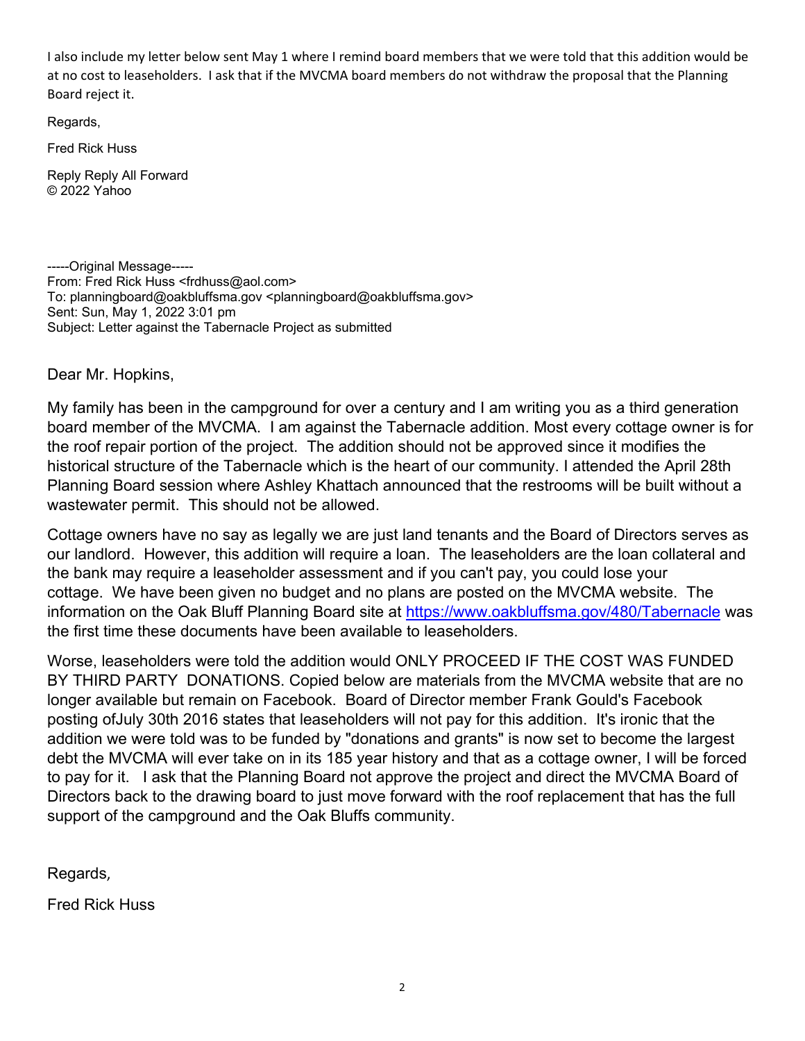I also include my letter below sent May 1 where I remind board members that we were told that this addition would be at no cost to leaseholders. I ask that if the MVCMA board members do not withdraw the proposal that the Planning Board reject it.

Regards,

Fred Rick Huss

Reply Reply All Forward © 2022 Yahoo

-----Original Message----- From: Fred Rick Huss <frdhuss@aol.com> To: planningboard@oakbluffsma.gov <planningboard@oakbluffsma.gov> Sent: Sun, May 1, 2022 3:01 pm Subject: Letter against the Tabernacle Project as submitted

Dear Mr. Hopkins,

My family has been in the campground for over a century and I am writing you as a third generation board member of the MVCMA. I am against the Tabernacle addition. Most every cottage owner is for the roof repair portion of the project. The addition should not be approved since it modifies the historical structure of the Tabernacle which is the heart of our community. I attended the April 28th Planning Board session where Ashley Khattach announced that the restrooms will be built without a wastewater permit. This should not be allowed.

Cottage owners have no say as legally we are just land tenants and the Board of Directors serves as our landlord. However, this addition will require a loan. The leaseholders are the loan collateral and the bank may require a leaseholder assessment and if you can't pay, you could lose your cottage. We have been given no budget and no plans are posted on the MVCMA website. The information on the Oak Bluff Planning Board site at https://www.oakbluffsma.gov/480/Tabernacle was the first time these documents have been available to leaseholders.

Worse, leaseholders were told the addition would ONLY PROCEED IF THE COST WAS FUNDED BY THIRD PARTY DONATIONS. Copied below are materials from the MVCMA website that are no longer available but remain on Facebook. Board of Director member Frank Gould's Facebook posting ofJuly 30th 2016 states that leaseholders will not pay for this addition. It's ironic that the addition we were told was to be funded by "donations and grants" is now set to become the largest debt the MVCMA will ever take on in its 185 year history and that as a cottage owner, I will be forced to pay for it. I ask that the Planning Board not approve the project and direct the MVCMA Board of Directors back to the drawing board to just move forward with the roof replacement that has the full support of the campground and the Oak Bluffs community.

Regards,

Fred Rick Huss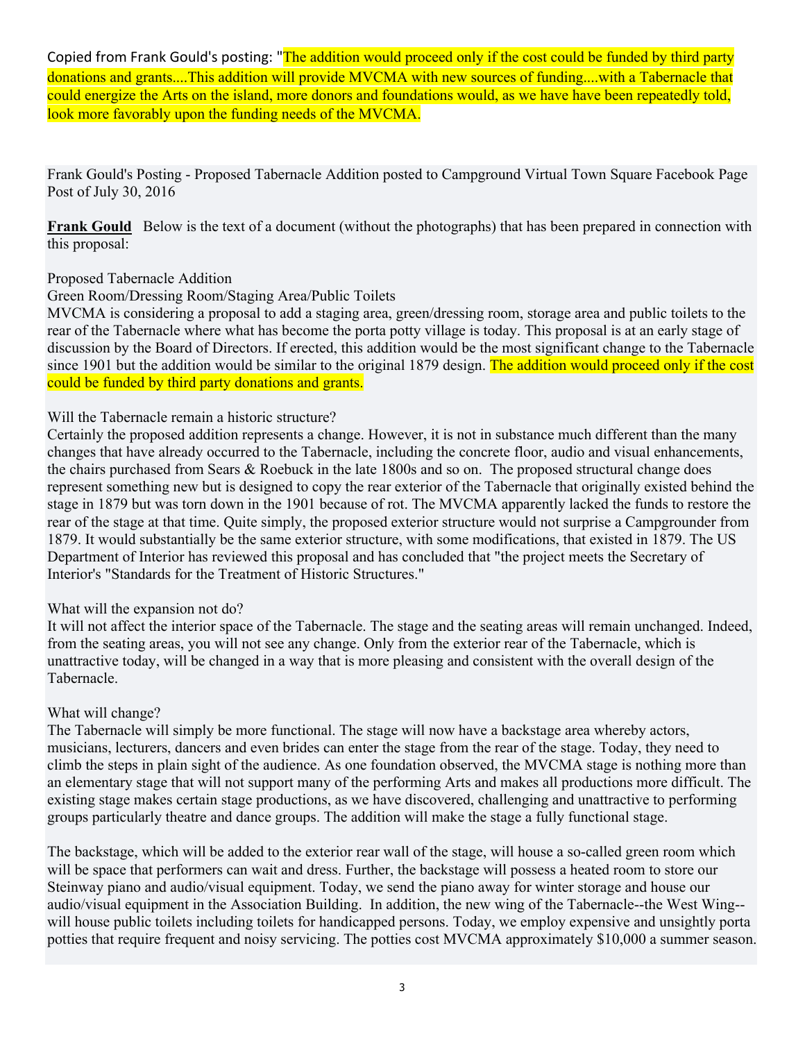Copied from Frank Gould's posting: "The addition would proceed only if the cost could be funded by third party donations and grants....This addition will provide MVCMA with new sources of funding....with a Tabernacle that could energize the Arts on the island, more donors and foundations would, as we have have been repeatedly told, look more favorably upon the funding needs of the MVCMA.

Frank Gould's Posting - Proposed Tabernacle Addition posted to Campground Virtual Town Square Facebook Page Post of July 30, 2016

**Frank Gould** Below is the text of a document (without the photographs) that has been prepared in connection with this proposal:

# Proposed Tabernacle Addition

Green Room/Dressing Room/Staging Area/Public Toilets

MVCMA is considering a proposal to add a staging area, green/dressing room, storage area and public toilets to the rear of the Tabernacle where what has become the porta potty village is today. This proposal is at an early stage of discussion by the Board of Directors. If erected, this addition would be the most significant change to the Tabernacle since 1901 but the addition would be similar to the original 1879 design. The addition would proceed only if the cost could be funded by third party donations and grants.

### Will the Tabernacle remain a historic structure?

Certainly the proposed addition represents a change. However, it is not in substance much different than the many changes that have already occurred to the Tabernacle, including the concrete floor, audio and visual enhancements, the chairs purchased from Sears & Roebuck in the late 1800s and so on. The proposed structural change does represent something new but is designed to copy the rear exterior of the Tabernacle that originally existed behind the stage in 1879 but was torn down in the 1901 because of rot. The MVCMA apparently lacked the funds to restore the rear of the stage at that time. Quite simply, the proposed exterior structure would not surprise a Campgrounder from 1879. It would substantially be the same exterior structure, with some modifications, that existed in 1879. The US Department of Interior has reviewed this proposal and has concluded that "the project meets the Secretary of Interior's "Standards for the Treatment of Historic Structures."

# What will the expansion not do?

It will not affect the interior space of the Tabernacle. The stage and the seating areas will remain unchanged. Indeed, from the seating areas, you will not see any change. Only from the exterior rear of the Tabernacle, which is unattractive today, will be changed in a way that is more pleasing and consistent with the overall design of the Tabernacle.

# What will change?

The Tabernacle will simply be more functional. The stage will now have a backstage area whereby actors, musicians, lecturers, dancers and even brides can enter the stage from the rear of the stage. Today, they need to climb the steps in plain sight of the audience. As one foundation observed, the MVCMA stage is nothing more than an elementary stage that will not support many of the performing Arts and makes all productions more difficult. The existing stage makes certain stage productions, as we have discovered, challenging and unattractive to performing groups particularly theatre and dance groups. The addition will make the stage a fully functional stage.

The backstage, which will be added to the exterior rear wall of the stage, will house a so-called green room which will be space that performers can wait and dress. Further, the backstage will possess a heated room to store our Steinway piano and audio/visual equipment. Today, we send the piano away for winter storage and house our audio/visual equipment in the Association Building. In addition, the new wing of the Tabernacle--the West Wing- will house public toilets including toilets for handicapped persons. Today, we employ expensive and unsightly porta potties that require frequent and noisy servicing. The potties cost MVCMA approximately \$10,000 a summer season.